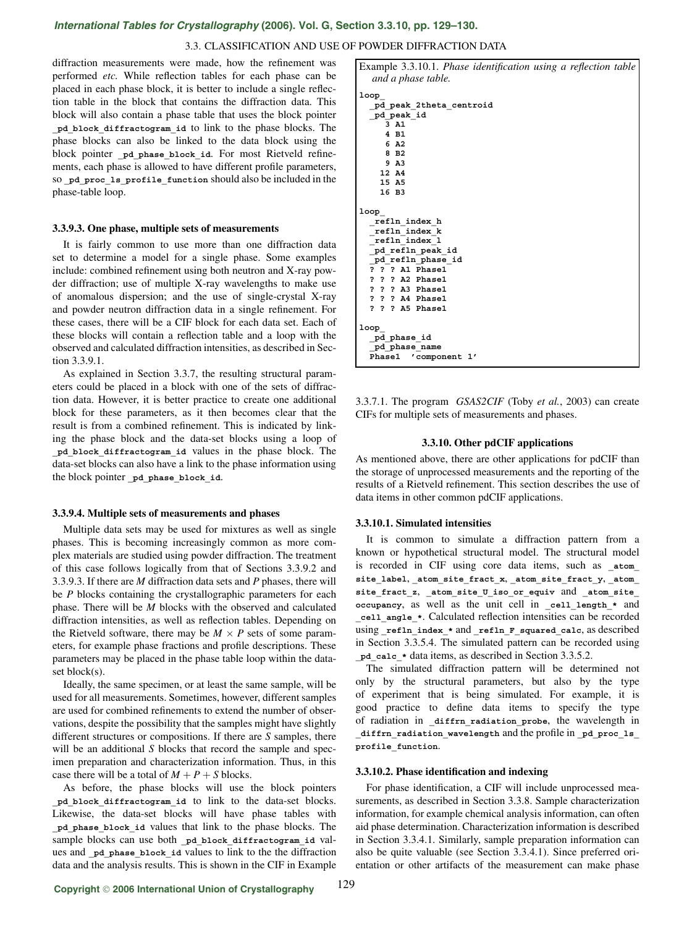## *International Tables for Crystallography* **[\(2006\). Vol. G, Section 3.3.10, pp. 129–130.](http://it.iucr.org/Ga/ch3o3v0001/sec3o3o10/)**

## 3.3. CLASSIFICATION AND USE OF POWDER DIFFRACTION DATA

diffraction measurements were made, how the refinement was performed *etc.* While reflection tables for each phase can be placed in each phase block, it is better to include a single reflection table in the block that contains the diffraction data. This block will also contain a phase table that uses the block pointer **\_pd\_block\_diffractogram\_id** to link to the phase blocks. The phase blocks can also be linked to the data block using the block pointer pd phase block id. For most Rietveld refinements, each phase is allowed to have different profile parameters, so pd proc 1s profile function should also be included in the phase-table loop.

### **3.3.9.3. One phase, multiple sets of measurements**

It is fairly common to use more than one diffraction data set to determine a model for a single phase. Some examples include: combined refinement using both neutron and X-ray powder diffraction; use of multiple X-ray wavelengths to make use of anomalous dispersion; and the use of single-crystal X-ray and powder neutron diffraction data in a single refinement. For these cases, there will be a CIF block for each data set. Each of these blocks will contain a reflection table and a loop with the observed and calculated diffraction intensities, as described in Section 3.3.9.1.

As explained in Section 3.3.7, the resulting structural parameters could be placed in a block with one of the sets of diffraction data. However, it is better practice to create one additional block for these parameters, as it then becomes clear that the result is from a combined refinement. This is indicated by linking the phase block and the data-set blocks using a loop of **\_pd\_block\_diffractogram\_id** values in the phase block. The data-set blocks can also have a link to the phase information using the block pointer **\_pd\_phase\_block\_id**.

#### **3.3.9.4. Multiple sets of measurements and phases**

Multiple data sets may be used for mixtures as well as single phases. This is becoming increasingly common as more complex materials are studied using powder diffraction. The treatment of this case follows logically from that of Sections 3.3.9.2 and 3.3.9.3. If there are *M* diffraction data sets and *P* phases, there will be *P* blocks containing the crystallographic parameters for each phase. There will be *M* blocks with the observed and calculated diffraction intensities, as well as reflection tables. Depending on the Rietveld software, there may be  $M \times P$  sets of some parameters, for example phase fractions and profile descriptions. These parameters may be placed in the phase table loop within the dataset block(s).

Ideally, the same specimen, or at least the same sample, will be used for all measurements. Sometimes, however, different samples are used for combined refinements to extend the number of observations, despite the possibility that the samples might have slightly different structures or compositions. If there are *S* samples, there will be an additional *S* blocks that record the sample and specimen preparation and characterization information. Thus, in this case there will be a total of  $M + P + S$  blocks.

As before, the phase blocks will use the block pointers **\_pd\_block\_diffractogram\_id** to link to the data-set blocks. Likewise, the data-set blocks will have phase tables with **\_pd\_phase\_block\_id** values that link to the phase blocks. The sample blocks can use both pd block diffractogram id values and pd phase block id values to link to the the diffraction data and the analysis results. This is shown in the CIF in Example Example 3.3.10.1. *Phase identification using a reflection table and a phase table.* **loop\_ \_pd\_peak\_2theta\_centroid \_pd\_peak\_id 3 A1 4 B1 6 A2 8 B2 9 A3 12 A4 15 A5 16 B3 loop\_ \_refln\_index\_h \_refln\_index\_k \_refln\_index\_l \_pd\_refln\_peak\_id \_pd\_refln\_phase\_id ? ? ? A1 Phase1 ? ? ? A2 Phase1 ? ? ? A3 Phase1 ? ? ? A4 Phase1 ? ? ? A5 Phase1 loop\_ \_pd\_phase\_id \_pd\_phase\_name Phase1 'component 1'**

3.3.7.1. The program *GSAS2CIF* (Toby *et al.*, 2003) can create CIFs for multiple sets of measurements and phases.

### **3.3.10. Other pdCIF applications**

As mentioned above, there are other applications for pdCIF than the storage of unprocessed measurements and the reporting of the results of a Rietveld refinement. This section describes the use of data items in other common pdCIF applications.

## **3.3.10.1. Simulated intensities**

It is common to simulate a diffraction pattern from a known or hypothetical structural model. The structural model is recorded in CIF using core data items, such as **\_atom\_ site\_label**, **\_atom\_site\_fract\_x**, **\_atom\_site\_fract\_y**, **\_atom\_ site\_fract\_z**, **\_atom\_site\_U\_iso\_or\_equiv** and **\_atom\_site\_ occupancy**, as well as the unit cell in **\_cell\_length\_\*** and **\_cell\_angle\_\***. Calculated reflection intensities can be recorded using refln index \* and refln **F** squared calc, as described in Section 3.3.5.4. The simulated pattern can be recorded using **\_pd\_calc\_\*** data items, as described in Section 3.3.5.2.

The simulated diffraction pattern will be determined not only by the structural parameters, but also by the type of experiment that is being simulated. For example, it is good practice to define data items to specify the type of radiation in **\_diffrn\_radiation\_probe**, the wavelength in **\_diffrn\_radiation\_wavelength** and the profile in **\_pd\_proc\_ls\_ profile\_function**.

#### **3.3.10.2. Phase identification and indexing**

For phase identification, a CIF will include unprocessed measurements, as described in Section 3.3.8. Sample characterization information, for example chemical analysis information, can often aid phase determination. Characterization information is described in Section 3.3.4.1. Similarly, sample preparation information can also be quite valuable (see Section 3.3.4.1). Since preferred orientation or other artifacts of the measurement can make phase